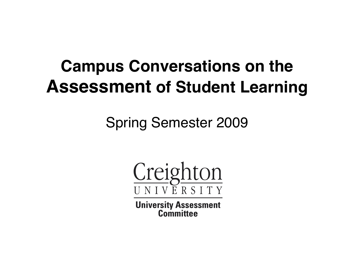#### **Campus Conversations on the Assessment of Student Learning**

Spring Semester 2009

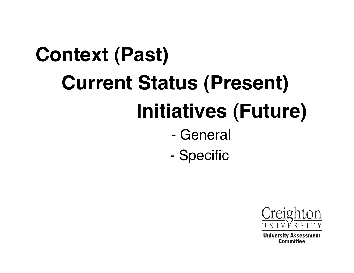# **Context (Past) Current Status (Present) Initiatives (Future)** - General

- Specific

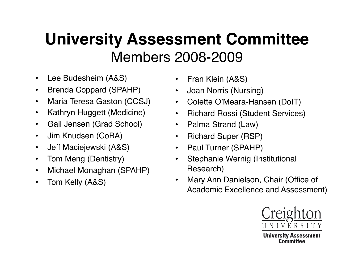#### **University Assessment Committee**  Members 2008-2009

- Lee Budesheim (A&S)
- Brenda Coppard (SPAHP)
- Maria Teresa Gaston (CCSJ)
- Kathryn Huggett (Medicine)
- Gail Jensen (Grad School)
- Jim Knudsen (CoBA)
- Jeff Maciejewski (A&S)
- Tom Meng (Dentistry)
- Michael Monaghan (SPAHP)
- Tom Kelly (A&S)
- Fran Klein (A&S)
- Joan Norris (Nursing)
- Colette O'Meara-Hansen (DoIT)
- Richard Rossi (Student Services)
- Palma Strand (Law)
- Richard Super (RSP)
- Paul Turner (SPAHP)
- Stephanie Wernig (Institutional Research)
- Mary Ann Danielson, Chair (Office of Academic Excellence and Assessment)

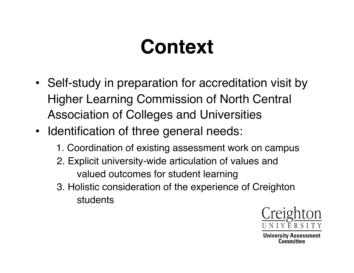## **Context**

- Self-study in preparation for accreditation visit by Higher Learning Commission of North Central Association of Colleges and Universities
- Identification of three general needs:
	- 1. Coordination of existing assessment work on campus
	- 2. Explicit university-wide articulation of values and valued outcomes for student learning
	- 3. Holistic consideration of the experience of Creighton students

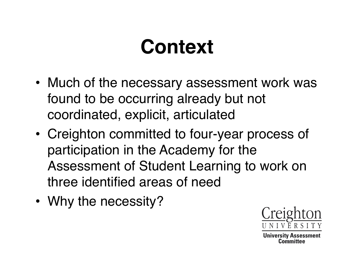#### **Context**

- Much of the necessary assessment work was found to be occurring already but not coordinated, explicit, articulated
- Creighton committed to four-year process of participation in the Academy for the Assessment of Student Learning to work on three identified areas of need
- Why the necessity?

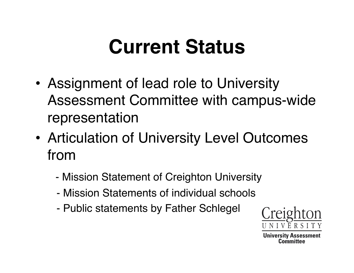- Assignment of lead role to University Assessment Committee with campus-wide representation
- Articulation of University Level Outcomes from
	- Mission Statement of Creighton University
	- Mission Statements of individual schools
	- Public statements by Father Schlegel

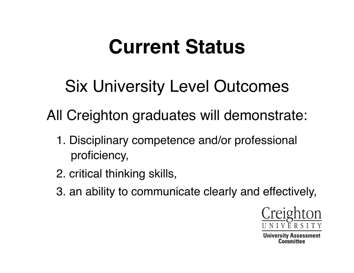Six University Level Outcomes

All Creighton graduates will demonstrate:

- 1. Disciplinary competence and/or professional proficiency,
- 2. critical thinking skills,
- 3. an ability to communicate clearly and effectively,

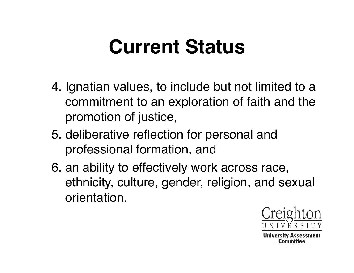- 4. Ignatian values, to include but not limited to a commitment to an exploration of faith and the promotion of justice,
- 5. deliberative reflection for personal and professional formation, and
- 6. an ability to effectively work across race, ethnicity, culture, gender, religion, and sexual orientation.

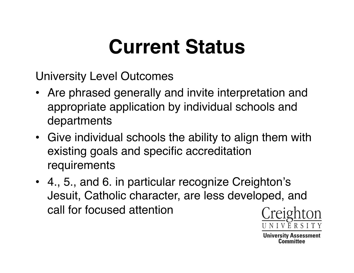University Level Outcomes

- Are phrased generally and invite interpretation and appropriate application by individual schools and departments
- Give individual schools the ability to align them with existing goals and specific accreditation requirements
- 4., 5., and 6. in particular recognize Creighton's Jesuit, Catholic character, are less developed, and call for focused attention

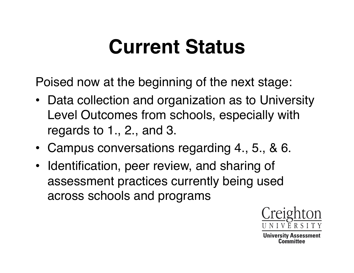Poised now at the beginning of the next stage:

- Data collection and organization as to University Level Outcomes from schools, especially with regards to 1., 2., and 3.
- Campus conversations regarding 4., 5., & 6.
- Identification, peer review, and sharing of assessment practices currently being used across schools and programs

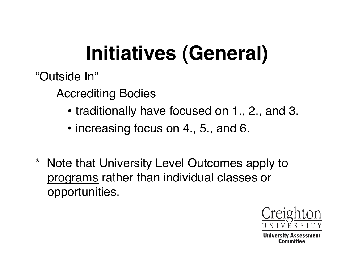# **Initiatives (General)**

"Outside In"

Accrediting Bodies

- traditionally have focused on 1., 2., and 3.
- increasing focus on 4., 5., and 6.
- \* Note that University Level Outcomes apply to programs rather than individual classes or opportunities.

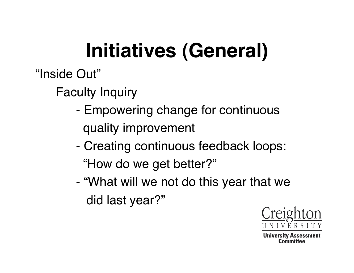# **Initiatives (General)**

"Inside Out"

Faculty Inquiry

- Empowering change for continuous quality improvement
- Creating continuous feedback loops: "How do we get better?"
- "What will we not do this year that we did last year?"

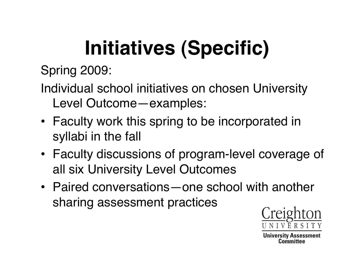# **Initiatives (Specific)**

Spring 2009:

Individual school initiatives on chosen University Level Outcome—examples:

- Faculty work this spring to be incorporated in syllabi in the fall
- Faculty discussions of program-level coverage of all six University Level Outcomes
- Paired conversations—one school with another sharing assessment practices

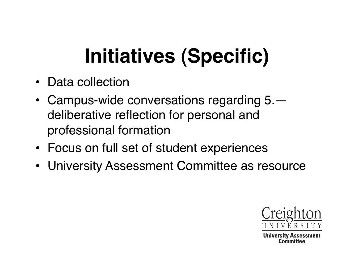# **Initiatives (Specific)**

- Data collection
- Campus-wide conversations regarding 5. deliberative reflection for personal and professional formation
- Focus on full set of student experiences
- University Assessment Committee as resource

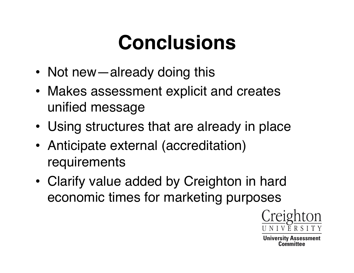## **Conclusions**

- Not new—already doing this
- Makes assessment explicit and creates unified message
- Using structures that are already in place
- Anticipate external (accreditation) requirements
- Clarify value added by Creighton in hard economic times for marketing purposes

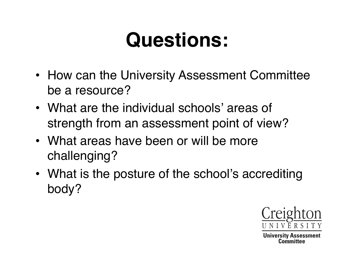## **Questions:**

- How can the University Assessment Committee be a resource?
- What are the individual schools' areas of strength from an assessment point of view?
- What areas have been or will be more challenging?
- What is the posture of the school's accrediting body?